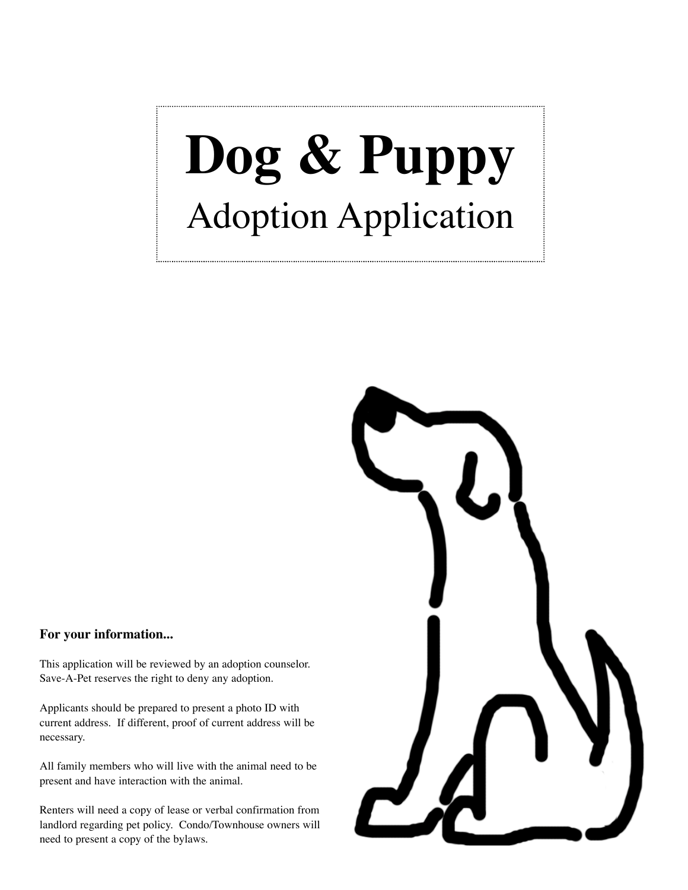## **Dog & Puppy** Adoption Application

## **For your information...**

This application will be reviewed by an adoption counselor. Save-A-Pet reserves the right to deny any adoption.

Applicants should be prepared to present a photo ID with current address. If different, proof of current address will be necessary.

All family members who will live with the animal need to be present and have interaction with the animal.

Renters will need a copy of lease or verbal confirmation from landlord regarding pet policy. Condo/Townhouse owners will need to present a copy of the bylaws.

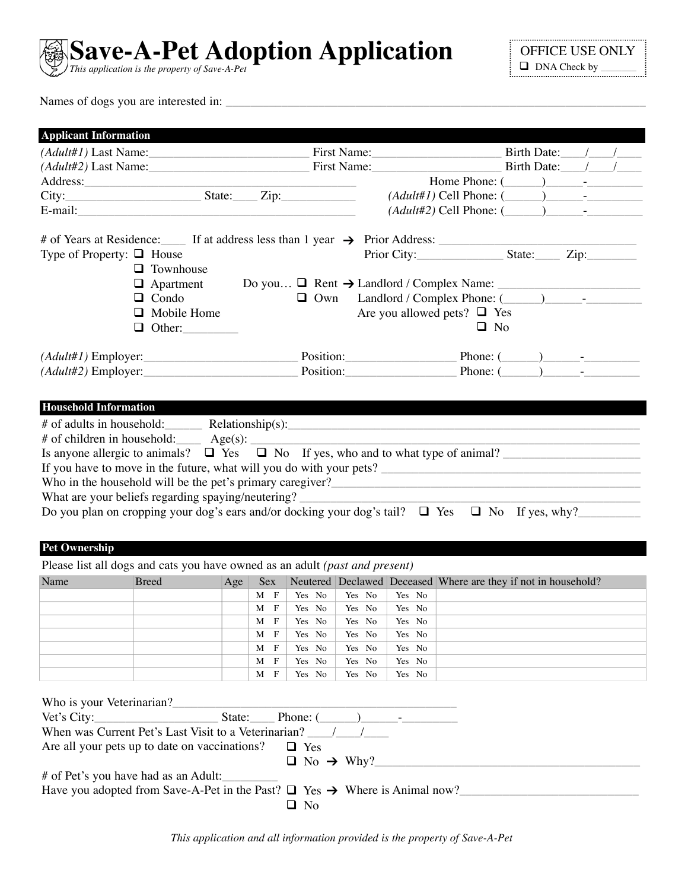

OFFICE USE ONLY DNA Check by \_\_\_\_\_\_\_

Names of dogs you are interested in:

| <b>Applicant Information</b>                                                                                                                                                                                                                                                                                                                                                                                                     |                      |                 |                                                                                                                                                                                                                                                                                                                                                                                                                                     |                  |                                  |                                                                |                  |  |
|----------------------------------------------------------------------------------------------------------------------------------------------------------------------------------------------------------------------------------------------------------------------------------------------------------------------------------------------------------------------------------------------------------------------------------|----------------------|-----------------|-------------------------------------------------------------------------------------------------------------------------------------------------------------------------------------------------------------------------------------------------------------------------------------------------------------------------------------------------------------------------------------------------------------------------------------|------------------|----------------------------------|----------------------------------------------------------------|------------------|--|
| (Adult#1) Last Name:                                                                                                                                                                                                                                                                                                                                                                                                             |                      |                 | First Name:                                                                                                                                                                                                                                                                                                                                                                                                                         |                  |                                  |                                                                |                  |  |
| (Adult#2) Last Name: First Name:                                                                                                                                                                                                                                                                                                                                                                                                 |                      |                 |                                                                                                                                                                                                                                                                                                                                                                                                                                     |                  |                                  |                                                                | Birth Date: /    |  |
| Address:                                                                                                                                                                                                                                                                                                                                                                                                                         |                      |                 | $\label{eq:2.1} \frac{1}{\sqrt{2\pi}}\left(\frac{1}{\sqrt{2\pi}}\right)^{1/2}\left(\frac{1}{\sqrt{2\pi}}\right)^{1/2}\left(\frac{1}{\sqrt{2\pi}}\right)^{1/2}\left(\frac{1}{\sqrt{2\pi}}\right)^{1/2}\left(\frac{1}{\sqrt{2\pi}}\right)^{1/2}\left(\frac{1}{\sqrt{2\pi}}\right)^{1/2}\left(\frac{1}{\sqrt{2\pi}}\right)^{1/2}\left(\frac{1}{\sqrt{2\pi}}\right)^{1/2}\left(\frac{1}{\sqrt{2\pi}}\right)^{1/2}\left(\frac{1}{\sqrt{$ |                  |                                  |                                                                |                  |  |
|                                                                                                                                                                                                                                                                                                                                                                                                                                  |                      |                 |                                                                                                                                                                                                                                                                                                                                                                                                                                     |                  |                                  | $(Adult#1)$ Cell Phone: $(\_\_\_\_\_\_\_\_\_\_$                |                  |  |
|                                                                                                                                                                                                                                                                                                                                                                                                                                  |                      |                 |                                                                                                                                                                                                                                                                                                                                                                                                                                     |                  |                                  | $(Adult#2)$ Cell Phone: $(\_\_\_\_\_\_\_\_\_\$                 |                  |  |
|                                                                                                                                                                                                                                                                                                                                                                                                                                  |                      |                 |                                                                                                                                                                                                                                                                                                                                                                                                                                     |                  |                                  |                                                                |                  |  |
| # of Years at Residence: If at address less than 1 year $\rightarrow$ Prior Address:                                                                                                                                                                                                                                                                                                                                             |                      |                 |                                                                                                                                                                                                                                                                                                                                                                                                                                     |                  |                                  |                                                                |                  |  |
| Type of Property: $\Box$ House                                                                                                                                                                                                                                                                                                                                                                                                   |                      |                 |                                                                                                                                                                                                                                                                                                                                                                                                                                     |                  |                                  |                                                                |                  |  |
|                                                                                                                                                                                                                                                                                                                                                                                                                                  | $\Box$ Townhouse     |                 |                                                                                                                                                                                                                                                                                                                                                                                                                                     |                  |                                  |                                                                |                  |  |
|                                                                                                                                                                                                                                                                                                                                                                                                                                  | $\Box$ Apartment     |                 |                                                                                                                                                                                                                                                                                                                                                                                                                                     |                  |                                  | Do you $\Box$ Rent $\rightarrow$ Landlord / Complex Name:      |                  |  |
| $\Box$ Condo                                                                                                                                                                                                                                                                                                                                                                                                                     |                      |                 | $\Box$ Own                                                                                                                                                                                                                                                                                                                                                                                                                          |                  | Are you allowed pets? $\Box$ Yes |                                                                |                  |  |
|                                                                                                                                                                                                                                                                                                                                                                                                                                  | $\Box$ Mobile Home   |                 |                                                                                                                                                                                                                                                                                                                                                                                                                                     |                  |                                  | $\Box$ No                                                      |                  |  |
|                                                                                                                                                                                                                                                                                                                                                                                                                                  | $\Box$ Other:        |                 |                                                                                                                                                                                                                                                                                                                                                                                                                                     |                  |                                  |                                                                |                  |  |
| $(Adult#1)$ Employer:                                                                                                                                                                                                                                                                                                                                                                                                            |                      |                 |                                                                                                                                                                                                                                                                                                                                                                                                                                     |                  |                                  |                                                                | Phone: $($ ) $-$ |  |
| $(Adult#2)$ Employer:                                                                                                                                                                                                                                                                                                                                                                                                            |                      |                 |                                                                                                                                                                                                                                                                                                                                                                                                                                     | Position:        |                                  | Phone: $($                                                     |                  |  |
|                                                                                                                                                                                                                                                                                                                                                                                                                                  |                      |                 |                                                                                                                                                                                                                                                                                                                                                                                                                                     |                  |                                  |                                                                |                  |  |
| Who in the household will be the pet's primary caregiver?<br><u>Letting</u> the manual contract of the petition of the petition of the periodic state of the periodic state of the periodic state of the periodic state of the period<br>What are your beliefs regarding spaying/neutering?<br>Do you plan on cropping your dog's ears and/or docking your dog's tail? $\Box$ Yes $\Box$ No If yes, why?<br><b>Pet Ownership</b> |                      |                 |                                                                                                                                                                                                                                                                                                                                                                                                                                     |                  |                                  |                                                                |                  |  |
| Please list all dogs and cats you have owned as an adult (past and present)                                                                                                                                                                                                                                                                                                                                                      |                      |                 |                                                                                                                                                                                                                                                                                                                                                                                                                                     |                  |                                  |                                                                |                  |  |
| Name                                                                                                                                                                                                                                                                                                                                                                                                                             | <b>Breed</b><br> Age | Sex             |                                                                                                                                                                                                                                                                                                                                                                                                                                     |                  |                                  | Neutered Declawed Deceased Where are they if not in household? |                  |  |
|                                                                                                                                                                                                                                                                                                                                                                                                                                  |                      | $M$ F<br>M<br>F | Yes No<br>Yes No                                                                                                                                                                                                                                                                                                                                                                                                                    | Yes No<br>Yes No | Yes No<br>Yes No                 |                                                                |                  |  |
|                                                                                                                                                                                                                                                                                                                                                                                                                                  |                      | M<br>F          | Yes No                                                                                                                                                                                                                                                                                                                                                                                                                              | Yes No           | Yes No                           |                                                                |                  |  |
|                                                                                                                                                                                                                                                                                                                                                                                                                                  |                      | M<br>F          | Yes No                                                                                                                                                                                                                                                                                                                                                                                                                              | Yes No           | Yes No                           |                                                                |                  |  |
|                                                                                                                                                                                                                                                                                                                                                                                                                                  |                      | M<br>F          | Yes No                                                                                                                                                                                                                                                                                                                                                                                                                              | Yes No           | Yes No                           |                                                                |                  |  |
|                                                                                                                                                                                                                                                                                                                                                                                                                                  |                      | M<br>F          | Yes No                                                                                                                                                                                                                                                                                                                                                                                                                              | Yes No           | Yes No                           |                                                                |                  |  |
|                                                                                                                                                                                                                                                                                                                                                                                                                                  |                      | F<br>M          | Yes No                                                                                                                                                                                                                                                                                                                                                                                                                              | Yes No           | Yes No                           |                                                                |                  |  |
| Who is your Veterinarian?<br>Vet's City:                                                                                                                                                                                                                                                                                                                                                                                         | State:               |                 | Phone: $($                                                                                                                                                                                                                                                                                                                                                                                                                          |                  |                                  |                                                                |                  |  |
|                                                                                                                                                                                                                                                                                                                                                                                                                                  |                      |                 |                                                                                                                                                                                                                                                                                                                                                                                                                                     |                  |                                  |                                                                |                  |  |
| Are all your pets up to date on vaccinations?                                                                                                                                                                                                                                                                                                                                                                                    |                      |                 | $\Box$ Yes<br>$\Box$ No $\rightarrow$ Why?                                                                                                                                                                                                                                                                                                                                                                                          |                  |                                  |                                                                |                  |  |
| # of Pet's you have had as an Adult:                                                                                                                                                                                                                                                                                                                                                                                             |                      |                 |                                                                                                                                                                                                                                                                                                                                                                                                                                     |                  |                                  |                                                                |                  |  |
| Have you adopted from Save-A-Pet in the Past? $\Box$ Yes $\rightarrow$ Where is Animal now?                                                                                                                                                                                                                                                                                                                                      |                      |                 | $\Box$ No                                                                                                                                                                                                                                                                                                                                                                                                                           |                  |                                  |                                                                |                  |  |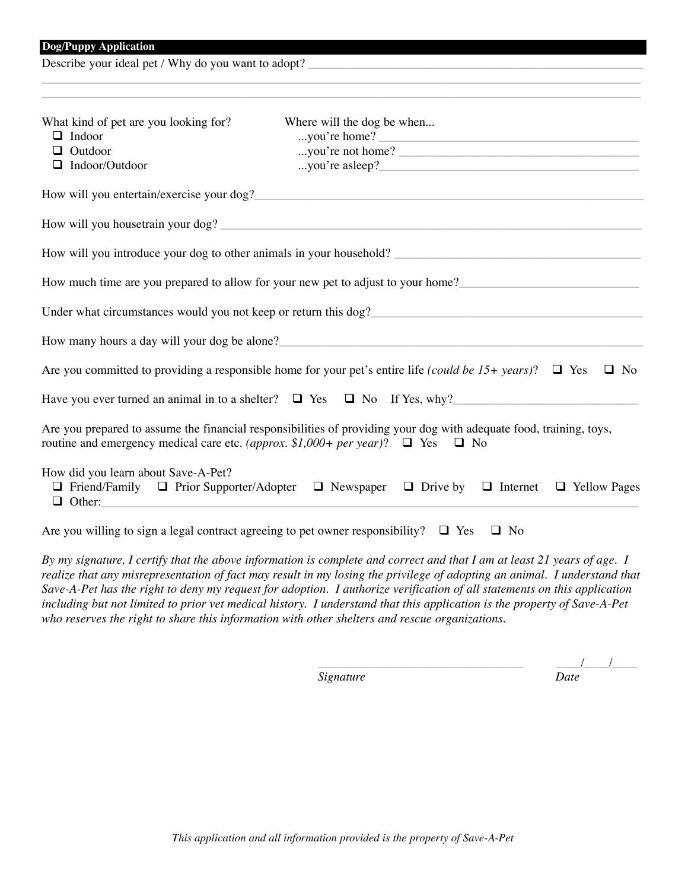Describe your ideal pet / Why do you want to adopt?

| What kind of pet are you looking for?                                                                                                                                        | Where will the dog be when                                                                                                                                                                                                       |
|------------------------------------------------------------------------------------------------------------------------------------------------------------------------------|----------------------------------------------------------------------------------------------------------------------------------------------------------------------------------------------------------------------------------|
| $\Box$ Indoor                                                                                                                                                                | you're home?                                                                                                                                                                                                                     |
| $\Box$ Outdoor                                                                                                                                                               | you're not home?                                                                                                                                                                                                                 |
| $\Box$ Indoor/Outdoor                                                                                                                                                        |                                                                                                                                                                                                                                  |
|                                                                                                                                                                              |                                                                                                                                                                                                                                  |
|                                                                                                                                                                              |                                                                                                                                                                                                                                  |
|                                                                                                                                                                              | How will you introduce your dog to other animals in your household? ________________________________                                                                                                                             |
|                                                                                                                                                                              | How much time are you prepared to allow for your new pet to adjust to your home?                                                                                                                                                 |
|                                                                                                                                                                              | Under what circumstances would you not keep or return this dog?<br>The same stream and the contract of the stream and the stream and the stream and the stream and the stream and the stream and the stream and the stream and t |
|                                                                                                                                                                              | How many hours a day will your dog be alone?                                                                                                                                                                                     |
|                                                                                                                                                                              | Are you committed to providing a responsible home for your pet's entire life (could be 15+ years)? $\Box$ Yes<br>$\Box$ No                                                                                                       |
|                                                                                                                                                                              | Have you ever turned an animal in to a shelter? $\Box$ Yes $\Box$ No If Yes, why?                                                                                                                                                |
|                                                                                                                                                                              | Are you prepared to assume the financial responsibilities of providing your dog with adequate food, training, toys,<br>routine and emergency medical care etc. (approx. \$1,000+ per year)? $\Box$ Yes $\Box$ No                 |
| How did you learn about Save-A-Pet?<br>$\Box$ Other:<br><u> 1989 - Johann Barn, mars and de Barn, mars and de Barn, mars and de Barn, mars and de Barn, mars and de Barn</u> | $\Box$ Friend/Family $\Box$ Prior Supporter/Adopter $\Box$ Newspaper $\Box$ Drive by $\Box$ Internet $\Box$ Yellow Pages                                                                                                         |
|                                                                                                                                                                              | Are you willing to sign a legal contract agreeing to pet owner responsibility? $\Box$ Yes<br>$\Box$ No                                                                                                                           |

\_\_\_\_\_\_\_\_\_\_\_\_\_\_\_\_\_\_\_\_\_\_\_\_\_\_\_\_\_\_\_\_\_\_\_\_\_\_\_\_\_\_\_\_\_\_\_\_\_\_\_\_\_\_\_\_\_\_\_\_\_\_\_\_\_\_\_\_\_\_\_\_\_\_\_\_\_\_\_\_\_\_\_\_\_\_\_\_\_\_\_\_\_\_\_\_\_

*By my signature, I certify that the above information is complete and correct and that I am at least 21 years of age. I realize that any misrepresentation of fact may result in my losing the privilege of adopting an animal. I understand that Save-A-Pet has the right to deny my request for adoption. I authorize verification of all statements on this application including but not limited to prior vet medical history. I understand that this application is the property of Save-A-Pet who reserves the right to share this information with other shelters and rescue organizations.*

 $Signature$ 

 $\frac{1}{Date}$   $\frac{1}{Date}$